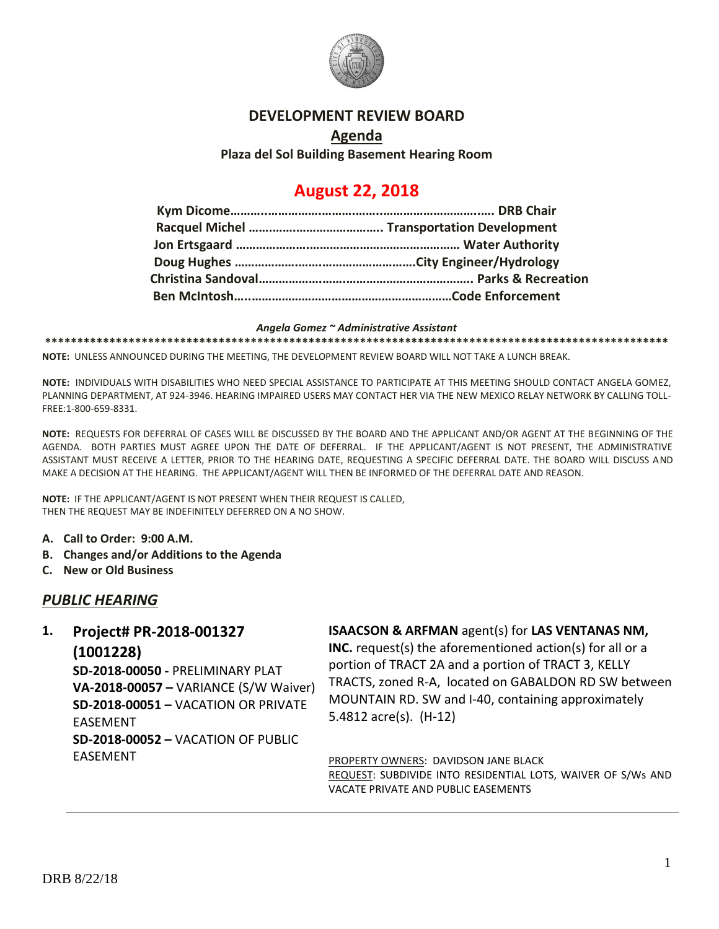

### **DEVELOPMENT REVIEW BOARD**

## **Agenda Plaza del Sol Building Basement Hearing Room**

# **August 22, 2018**

#### *Angela Gomez ~ Administrative Assistant*

**\*\*\*\*\*\*\*\*\*\*\*\*\*\*\*\*\*\*\*\*\*\*\*\*\*\*\*\*\*\*\*\*\*\*\*\*\*\*\*\*\*\*\*\*\*\*\*\*\*\*\*\*\*\*\*\*\*\*\*\*\*\*\*\*\*\*\*\*\*\*\*\*\*\*\*\*\*\*\*\*\*\*\*\*\*\*\*\*\*\*\*\*\*\*\*\*\***

**NOTE:** UNLESS ANNOUNCED DURING THE MEETING, THE DEVELOPMENT REVIEW BOARD WILL NOT TAKE A LUNCH BREAK.

**NOTE:** INDIVIDUALS WITH DISABILITIES WHO NEED SPECIAL ASSISTANCE TO PARTICIPATE AT THIS MEETING SHOULD CONTACT ANGELA GOMEZ, PLANNING DEPARTMENT, AT 924-3946. HEARING IMPAIRED USERS MAY CONTACT HER VIA THE NEW MEXICO RELAY NETWORK BY CALLING TOLL-FREE:1-800-659-8331.

**NOTE:** REQUESTS FOR DEFERRAL OF CASES WILL BE DISCUSSED BY THE BOARD AND THE APPLICANT AND/OR AGENT AT THE BEGINNING OF THE AGENDA. BOTH PARTIES MUST AGREE UPON THE DATE OF DEFERRAL. IF THE APPLICANT/AGENT IS NOT PRESENT, THE ADMINISTRATIVE ASSISTANT MUST RECEIVE A LETTER, PRIOR TO THE HEARING DATE, REQUESTING A SPECIFIC DEFERRAL DATE. THE BOARD WILL DISCUSS AND MAKE A DECISION AT THE HEARING. THE APPLICANT/AGENT WILL THEN BE INFORMED OF THE DEFERRAL DATE AND REASON.

**NOTE:** IF THE APPLICANT/AGENT IS NOT PRESENT WHEN THEIR REQUEST IS CALLED, THEN THE REQUEST MAY BE INDEFINITELY DEFERRED ON A NO SHOW.

- **A. Call to Order: 9:00 A.M.**
- **B. Changes and/or Additions to the Agenda**
- **C. New or Old Business**

## *PUBLIC HEARING*

# **1. Project# PR-2018-001327**

#### **(1001228)**

**SD-2018-00050 -** PRELIMINARY PLAT **VA-2018-00057 –** VARIANCE (S/W Waiver) **SD-2018-00051 –** VACATION OR PRIVATE EASEMENT **SD-2018-00052 –** VACATION OF PUBLIC EASEMENT

## **ISAACSON & ARFMAN** agent(s) for **LAS VENTANAS NM,**

**INC.** request(s) the aforementioned action(s) for all or a portion of TRACT 2A and a portion of TRACT 3, KELLY TRACTS, zoned R-A, located on GABALDON RD SW between MOUNTAIN RD. SW and I-40, containing approximately 5.4812 acre(s). (H-12)

PROPERTY OWNERS: DAVIDSON JANE BLACK REQUEST: SUBDIVIDE INTO RESIDENTIAL LOTS, WAIVER OF S/Ws AND VACATE PRIVATE AND PUBLIC EASEMENTS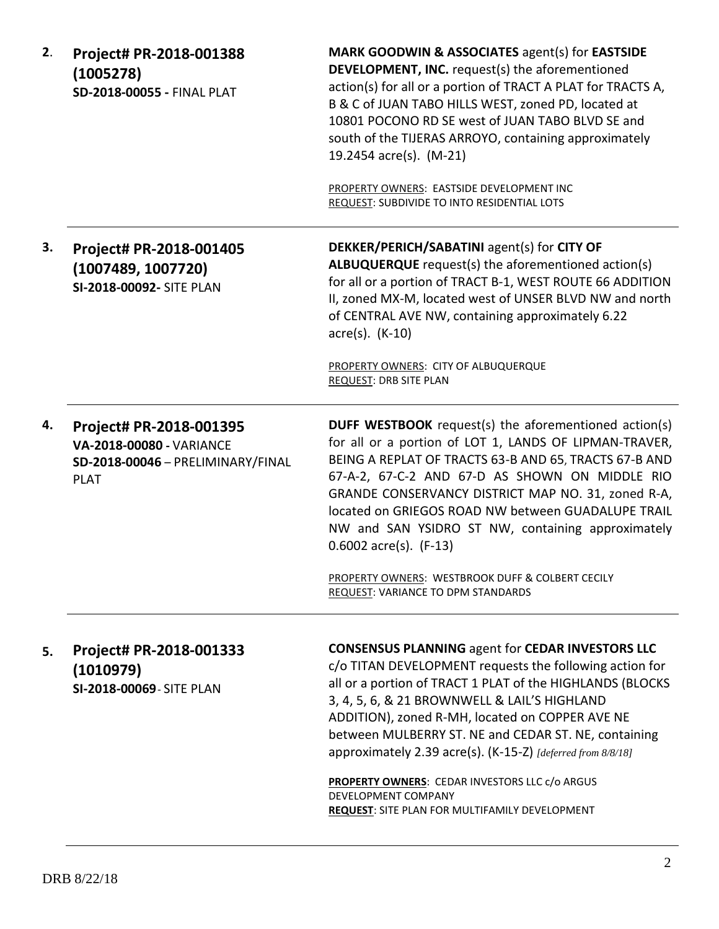| 2. | Project# PR-2018-001388<br>(1005278)<br>SD-2018-00055 - FINAL PLAT                                             | MARK GOODWIN & ASSOCIATES agent(s) for EASTSIDE<br><b>DEVELOPMENT, INC.</b> request(s) the aforementioned<br>action(s) for all or a portion of TRACT A PLAT for TRACTS A,<br>B & C of JUAN TABO HILLS WEST, zoned PD, located at<br>10801 POCONO RD SE west of JUAN TABO BLVD SE and<br>south of the TIJERAS ARROYO, containing approximately<br>19.2454 acre(s). (M-21)                                                       |
|----|----------------------------------------------------------------------------------------------------------------|--------------------------------------------------------------------------------------------------------------------------------------------------------------------------------------------------------------------------------------------------------------------------------------------------------------------------------------------------------------------------------------------------------------------------------|
|    |                                                                                                                | PROPERTY OWNERS: EASTSIDE DEVELOPMENT INC<br>REQUEST: SUBDIVIDE TO INTO RESIDENTIAL LOTS                                                                                                                                                                                                                                                                                                                                       |
| З. | Project# PR-2018-001405<br>(1007489, 1007720)<br>SI-2018-00092- SITE PLAN                                      | DEKKER/PERICH/SABATINI agent(s) for CITY OF<br>ALBUQUERQUE request(s) the aforementioned action(s)<br>for all or a portion of TRACT B-1, WEST ROUTE 66 ADDITION<br>II, zoned MX-M, located west of UNSER BLVD NW and north<br>of CENTRAL AVE NW, containing approximately 6.22<br>$\arccos 0$ . (K-10)                                                                                                                         |
|    |                                                                                                                | PROPERTY OWNERS: CITY OF ALBUQUERQUE<br>REQUEST: DRB SITE PLAN                                                                                                                                                                                                                                                                                                                                                                 |
| 4. | Project# PR-2018-001395<br><b>VA-2018-00080 - VARIANCE</b><br>SD-2018-00046 - PRELIMINARY/FINAL<br><b>PLAT</b> | <b>DUFF WESTBOOK</b> request(s) the aforementioned action(s)<br>for all or a portion of LOT 1, LANDS OF LIPMAN-TRAVER,<br>BEING A REPLAT OF TRACTS 63-B AND 65, TRACTS 67-B AND<br>67-A-2, 67-C-2 AND 67-D AS SHOWN ON MIDDLE RIO<br>GRANDE CONSERVANCY DISTRICT MAP NO. 31, zoned R-A,<br>located on GRIEGOS ROAD NW between GUADALUPE TRAIL<br>NW and SAN YSIDRO ST NW, containing approximately<br>$0.6002$ acre(s). (F-13) |
|    |                                                                                                                | PROPERTY OWNERS: WESTBROOK DUFF & COLBERT CECILY<br>REQUEST: VARIANCE TO DPM STANDARDS                                                                                                                                                                                                                                                                                                                                         |
| 5. | Project# PR-2018-001333<br>(1010979)<br>SI-2018-00069 - SITE PLAN                                              | <b>CONSENSUS PLANNING agent for CEDAR INVESTORS LLC</b><br>c/o TITAN DEVELOPMENT requests the following action for<br>all or a portion of TRACT 1 PLAT of the HIGHLANDS (BLOCKS<br>3, 4, 5, 6, & 21 BROWNWELL & LAIL'S HIGHLAND<br>ADDITION), zoned R-MH, located on COPPER AVE NE<br>between MULBERRY ST. NE and CEDAR ST. NE, containing<br>approximately 2.39 acre(s). (K-15-Z) [deferred from 8/8/18]                      |
|    |                                                                                                                | <b>PROPERTY OWNERS: CEDAR INVESTORS LLC c/o ARGUS</b><br>DEVELOPMENT COMPANY<br><b>REQUEST: SITE PLAN FOR MULTIFAMILY DEVELOPMENT</b>                                                                                                                                                                                                                                                                                          |